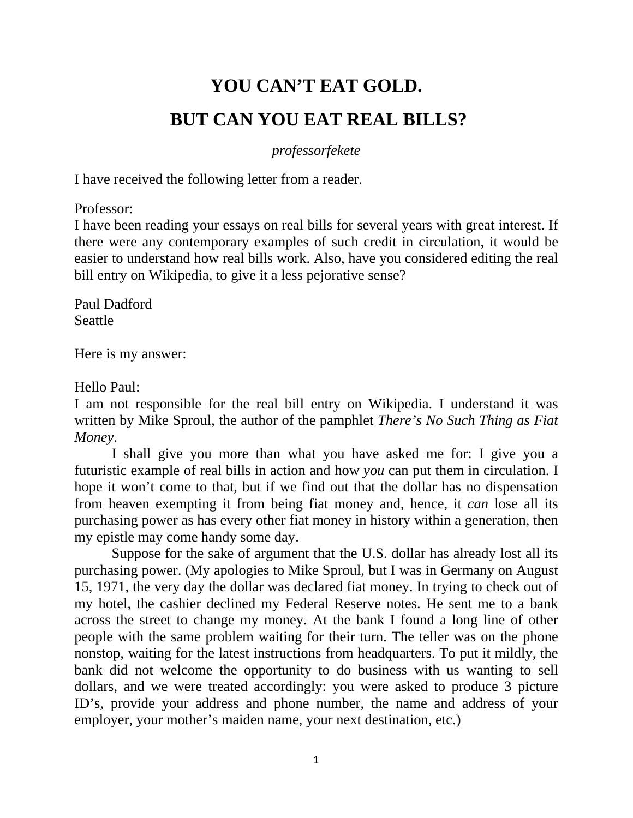## **YOU CAN'T EAT GOLD. BUT CAN YOU EAT REAL BILLS?**

## *professorfekete*

I have received the following letter from a reader.

Professor:

I have been reading your essays on real bills for several years with great interest. If there were any contemporary examples of such credit in circulation, it would be easier to understand how real bills work. Also, have you considered editing the real bill entry on Wikipedia, to give it a less pejorative sense?

Paul Dadford Seattle

Here is my answer:

Hello Paul:

I am not responsible for the real bill entry on Wikipedia. I understand it was written by Mike Sproul, the author of the pamphlet *There's No Such Thing as Fiat Money*.

I shall give you more than what you have asked me for: I give you a futuristic example of real bills in action and how *you* can put them in circulation. I hope it won't come to that, but if we find out that the dollar has no dispensation from heaven exempting it from being fiat money and, hence, it *can* lose all its purchasing power as has every other fiat money in history within a generation, then my epistle may come handy some day.

 Suppose for the sake of argument that the U.S. dollar has already lost all its purchasing power. (My apologies to Mike Sproul, but I was in Germany on August 15, 1971, the very day the dollar was declared fiat money. In trying to check out of my hotel, the cashier declined my Federal Reserve notes. He sent me to a bank across the street to change my money. At the bank I found a long line of other people with the same problem waiting for their turn. The teller was on the phone nonstop, waiting for the latest instructions from headquarters. To put it mildly, the bank did not welcome the opportunity to do business with us wanting to sell dollars, and we were treated accordingly: you were asked to produce 3 picture ID's, provide your address and phone number, the name and address of your employer, your mother's maiden name, your next destination, etc.)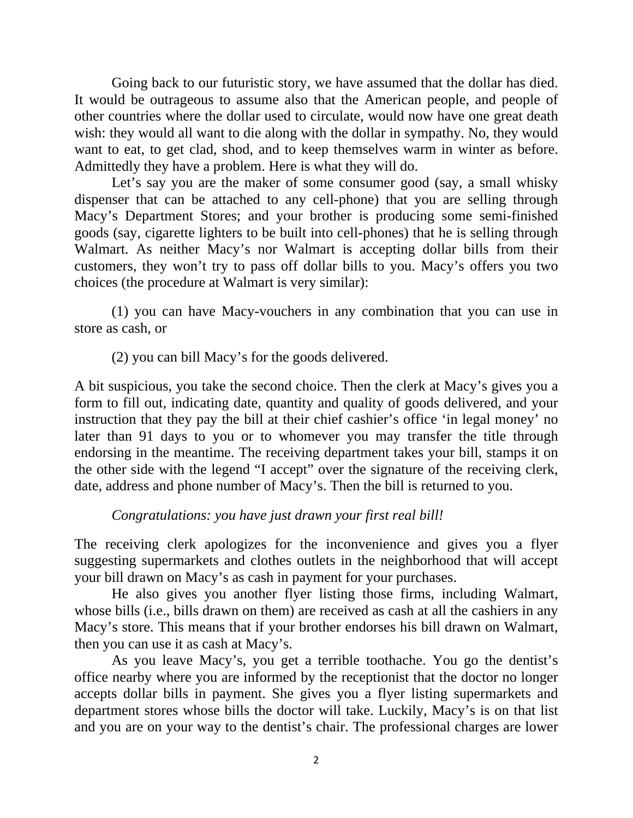Going back to our futuristic story, we have assumed that the dollar has died. It would be outrageous to assume also that the American people, and people of other countries where the dollar used to circulate, would now have one great death wish: they would all want to die along with the dollar in sympathy. No, they would want to eat, to get clad, shod, and to keep themselves warm in winter as before. Admittedly they have a problem. Here is what they will do.

Let's say you are the maker of some consumer good (say, a small whisky dispenser that can be attached to any cell-phone) that you are selling through Macy's Department Stores; and your brother is producing some semi-finished goods (say, cigarette lighters to be built into cell-phones) that he is selling through Walmart. As neither Macy's nor Walmart is accepting dollar bills from their customers, they won't try to pass off dollar bills to you. Macy's offers you two choices (the procedure at Walmart is very similar):

(1) you can have Macy-vouchers in any combination that you can use in store as cash, or

(2) you can bill Macy's for the goods delivered.

A bit suspicious, you take the second choice. Then the clerk at Macy's gives you a form to fill out, indicating date, quantity and quality of goods delivered, and your instruction that they pay the bill at their chief cashier's office 'in legal money' no later than 91 days to you or to whomever you may transfer the title through endorsing in the meantime. The receiving department takes your bill, stamps it on the other side with the legend "I accept" over the signature of the receiving clerk, date, address and phone number of Macy's. Then the bill is returned to you.

*Congratulations: you have just drawn your first real bill!*

The receiving clerk apologizes for the inconvenience and gives you a flyer suggesting supermarkets and clothes outlets in the neighborhood that will accept your bill drawn on Macy's as cash in payment for your purchases.

He also gives you another flyer listing those firms, including Walmart, whose bills (i.e., bills drawn on them) are received as cash at all the cashiers in any Macy's store. This means that if your brother endorses his bill drawn on Walmart, then you can use it as cash at Macy's.

 As you leave Macy's, you get a terrible toothache. You go the dentist's office nearby where you are informed by the receptionist that the doctor no longer accepts dollar bills in payment. She gives you a flyer listing supermarkets and department stores whose bills the doctor will take. Luckily, Macy's is on that list and you are on your way to the dentist's chair. The professional charges are lower